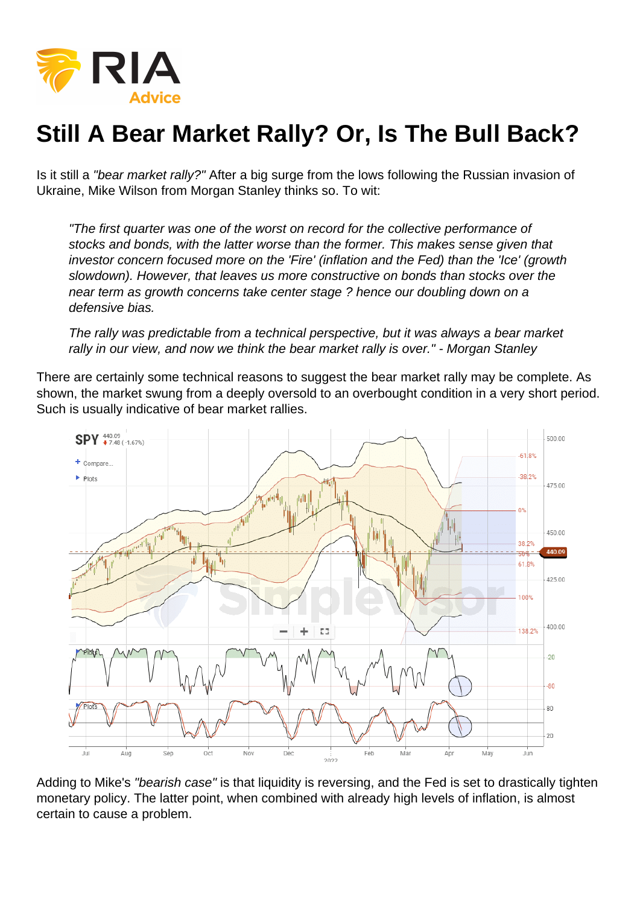## Still A Bear Market Rally? Or, Is The Bull Back?

Is it still a "bear market rally?" After a big surge from the lows following the Russian invasion of Ukraine, Mike Wilson from Morgan Stanley thinks so. To wit:

"The first quarter was one of the worst on record for the collective performance of stocks and bonds, with the latter worse than the former. This makes sense given that investor concern focused more on the 'Fire' (inflation and the Fed) than the 'Ice' (growth slowdown). However, that leaves us more constructive on bonds than stocks over the near term as growth concerns take center stage ? hence our doubling down on a defensive bias.

The rally was predictable from a technical perspective, but it was always a bear market rally in our view, and now we think the bear market rally is over." - Morgan Stanley

There are certainly some technical reasons to suggest the bear market rally may be complete. As shown, the market swung from a deeply oversold to an overbought condition in a very short period. Such is usually indicative of bear market rallies.

Adding to Mike's "bearish case" is that liquidity is reversing, and the Fed is set to drastically tighten monetary policy. The latter point, when combined with already high levels of inflation, is almost certain to cause a problem.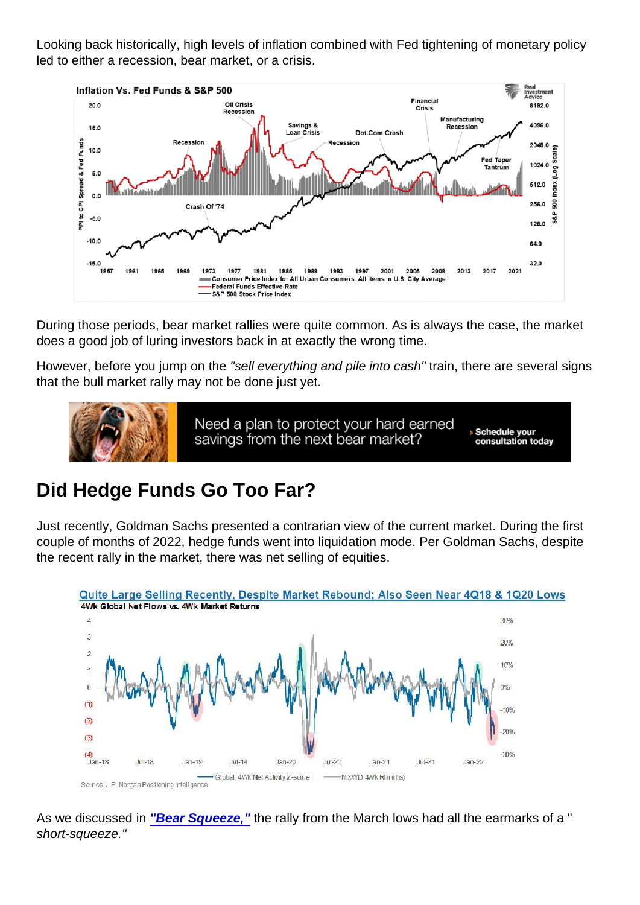Looking back historically, high levels of inflation combined with Fed tightening of monetary policy led to either a recession, bear market, or a crisis.

During those periods, bear market rallies were quite common. As is always the case, the market does a good job of luring investors back in at exactly the wrong time.

However, before you jump on the "sell everything and pile into cash" train, there are several signs that the bull market rally may not be done just yet.

## Did Hedge Funds Go Too Far?

Just recently, Goldman Sachs presented a contrarian view of the current market. During the first couple of months of 2022, hedge funds went into liquidation mode. Per Goldman Sachs, despite the recent rally in the market, there was net selling of equities.

As we discussed in ["Bear Squeeze,"](https://realinvestmentadvice.com/bear-squeeze-or-return-of-the-bull/) the rally from the March lows had all the earmarks of a " short-squeeze."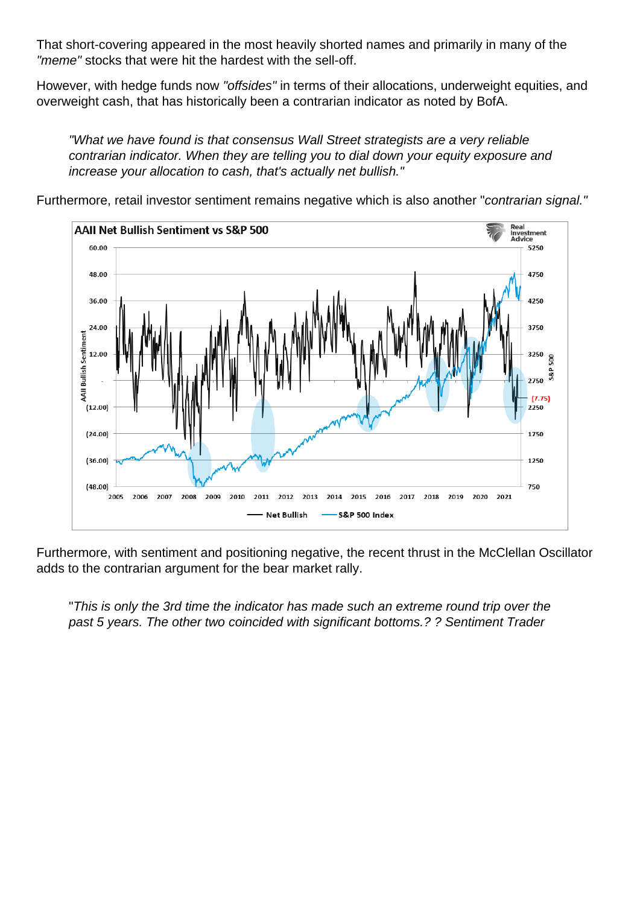That short-covering appeared in the most heavily shorted names and primarily in many of the "meme" stocks that were hit the hardest with the sell-off.

However, with hedge funds now "offsides" in terms of their allocations, underweight equities, and overweight cash, that has historically been a contrarian indicator as noted by BofA.

"What we have found is that consensus Wall Street strategists are a very reliable contrarian indicator. When they are telling you to dial down your equity exposure and increase your allocation to cash, that's actually net bullish."

Furthermore, retail investor sentiment remains negative which is also another "contrarian signal."

Furthermore, with sentiment and positioning negative, the recent thrust in the McClellan Oscillator adds to the contrarian argument for the bear market rally.

"This is only the 3rd time the indicator has made such an extreme round trip over the past 5 years. The other two coincided with significant bottoms.? ? Sentiment Trader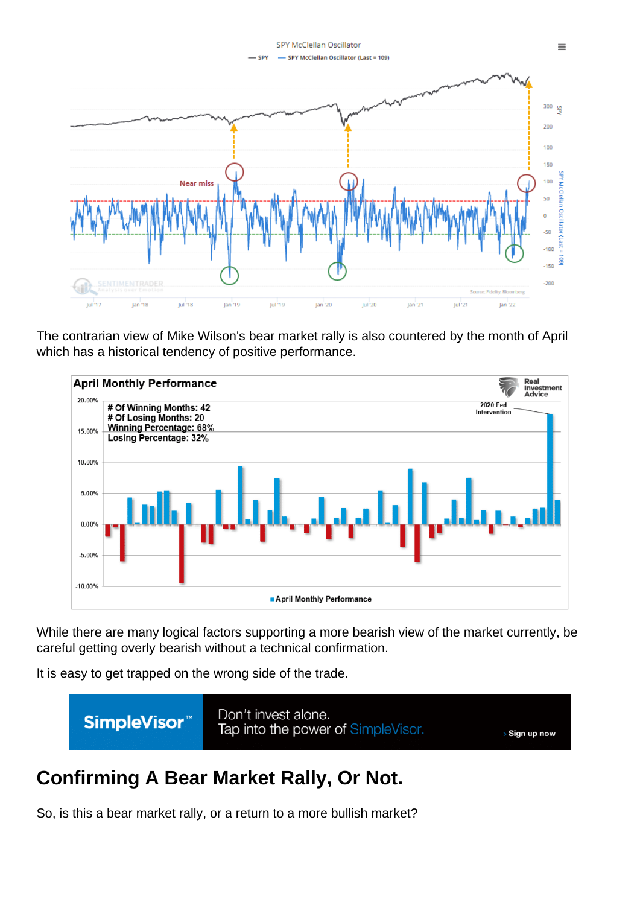The contrarian view of Mike Wilson's bear market rally is also countered by the month of April which has a historical tendency of positive performance.

While there are many logical factors supporting a more bearish view of the market currently, be careful getting overly bearish without a technical confirmation.

It is easy to get trapped on the wrong side of the trade.

## Confirming A Bear Market Rally, Or Not.

So, is this a bear market rally, or a return to a more bullish market?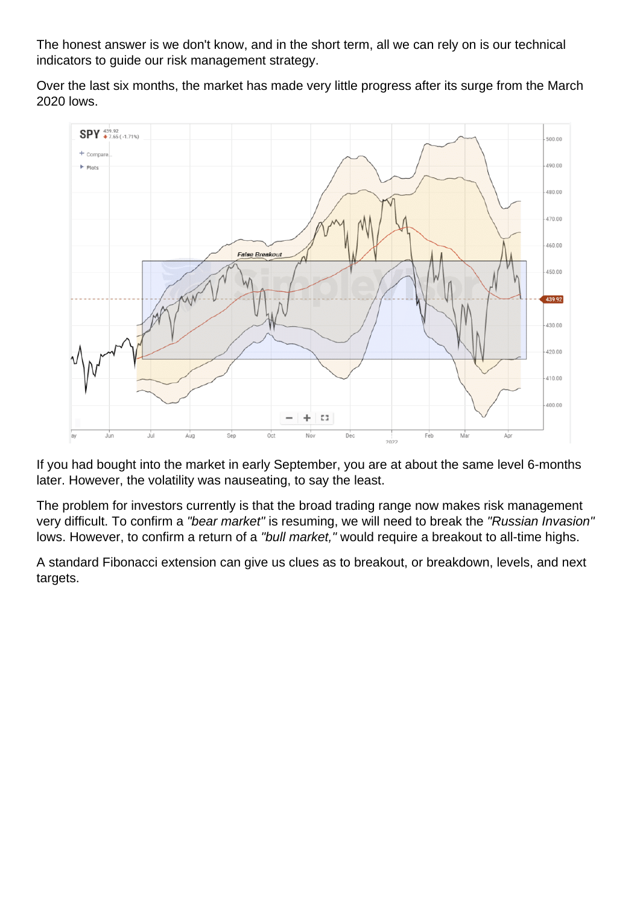The honest answer is we don't know, and in the short term, all we can rely on is our technical indicators to guide our risk management strategy.

Over the last six months, the market has made very little progress after its surge from the March 2020 lows.

If you had bought into the market in early September, you are at about the same level 6-months later. However, the volatility was nauseating, to say the least.

The problem for investors currently is that the broad trading range now makes risk management very difficult. To confirm a "bear market" is resuming, we will need to break the "Russian Invasion" lows. However, to confirm a return of a "bull market," would require a breakout to all-time highs.

A standard Fibonacci extension can give us clues as to breakout, or breakdown, levels, and next targets.